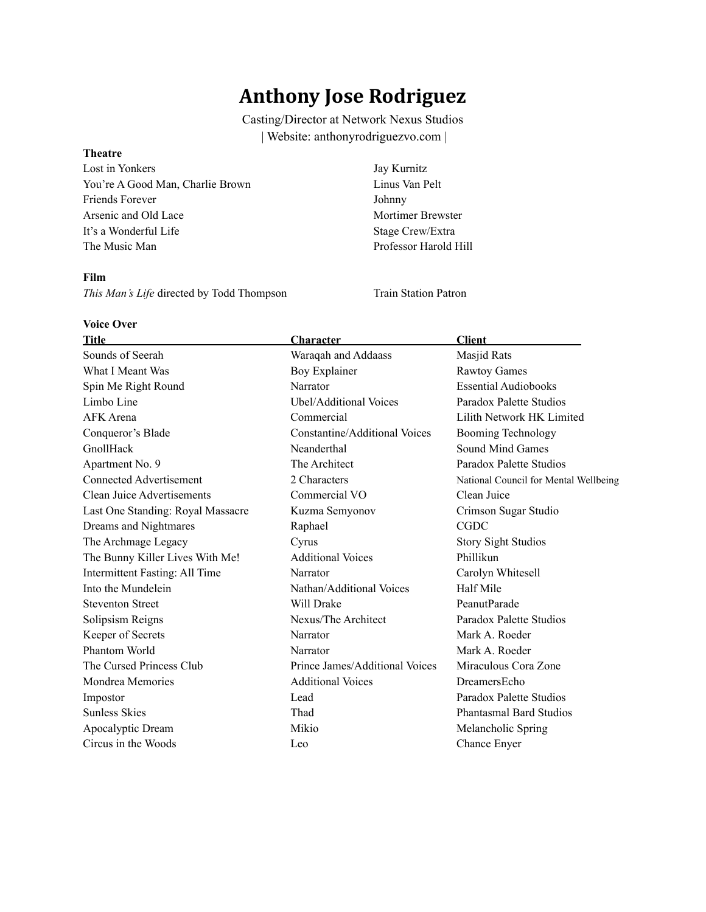# **Anthony Jose Rodriguez**

Casting/Director at Network Nexus Studios | Website: anthonyrodriguezvo.com |

#### **Theatre**

Lost in Yonkers Jay Kurnitz You're A Good Man, Charlie Brown Linus Van Pelt Friends Forever Johnny Arsenic and Old Lace Mortimer Brewster It's a Wonderful Life Stage Crew/Extra The Music Man Professor Harold Hill

#### **Film**

**This Man's Life directed by Todd Thompson Train Station Patron** 

#### **Voice Over**

| <b>Title</b>                      | Character                            | <b>Client</b>                         |
|-----------------------------------|--------------------------------------|---------------------------------------|
| Sounds of Seerah                  | Waraqah and Addaass                  | Masjid Rats                           |
| What I Meant Was                  | Boy Explainer                        | <b>Rawtoy Games</b>                   |
| Spin Me Right Round               | Narrator                             | <b>Essential Audiobooks</b>           |
| Limbo Line                        | Ubel/Additional Voices               | Paradox Palette Studios               |
| <b>AFK</b> Arena                  | Commercial                           | Lilith Network HK Limited             |
| Conqueror's Blade                 | <b>Constantine/Additional Voices</b> | <b>Booming Technology</b>             |
| GnollHack                         | Neanderthal                          | Sound Mind Games                      |
| Apartment No. 9                   | The Architect                        | Paradox Palette Studios               |
| Connected Advertisement           | 2 Characters                         | National Council for Mental Wellbeing |
| Clean Juice Advertisements        | Commercial VO                        | Clean Juice                           |
| Last One Standing: Royal Massacre | Kuzma Semyonov                       | Crimson Sugar Studio                  |
| Dreams and Nightmares             | Raphael                              | <b>CGDC</b>                           |
| The Archmage Legacy               | Cyrus                                | <b>Story Sight Studios</b>            |
| The Bunny Killer Lives With Me!   | <b>Additional Voices</b>             | Phillikun                             |
| Intermittent Fasting: All Time    | Narrator                             | Carolyn Whitesell                     |
| Into the Mundelein                | Nathan/Additional Voices             | Half Mile                             |
| <b>Steventon Street</b>           | Will Drake                           | PeanutParade                          |
| Solipsism Reigns                  | Nexus/The Architect                  | Paradox Palette Studios               |
| Keeper of Secrets                 | Narrator                             | Mark A. Roeder                        |
| Phantom World                     | Narrator                             | Mark A. Roeder                        |
| The Cursed Princess Club          | Prince James/Additional Voices       | Miraculous Cora Zone                  |
| Mondrea Memories                  | <b>Additional Voices</b>             | DreamersEcho                          |
| Impostor                          | Lead                                 | Paradox Palette Studios               |
| <b>Sunless Skies</b>              | Thad                                 | <b>Phantasmal Bard Studios</b>        |
| Apocalyptic Dream                 | Mikio                                | Melancholic Spring                    |
| Circus in the Woods               | Leo                                  | Chance Enyer                          |